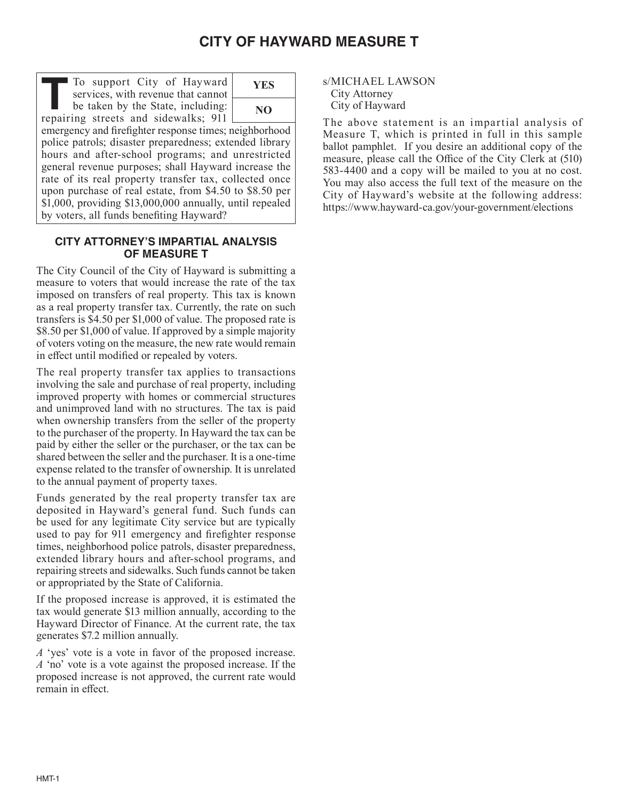# **CITY OF HAYWARD MEASURE T**

To support City of Hayward services, with revenue that cannot To support City of Hayward<br>
services, with revenue that cannot<br>
be taken by the State, including:<br> **The State of Line State** and sidewalls<br> **The State** repairing streets and sidewalks; 911



emergency and firefighter response times; neighborhood police patrols; disaster preparedness; extended library hours and after-school programs; and unrestricted general revenue purposes; shall Hayward increase the rate of its real property transfer tax, collected once upon purchase of real estate, from \$4.50 to \$8.50 per \$1,000, providing \$13,000,000 annually, until repealed by voters, all funds benefiting Hayward?

## **CITY ATTORNEY'S IMPARTIAL ANALYSIS OF MEASURE T**

The City Council of the City of Hayward is submitting a measure to voters that would increase the rate of the tax imposed on transfers of real property. This tax is known as a real property transfer tax. Currently, the rate on such transfers is \$4.50 per \$1,000 of value. The proposed rate is \$8.50 per \$1,000 of value. If approved by a simple majority of voters voting on the measure, the new rate would remain in effect until modified or repealed by voters.

The real property transfer tax applies to transactions involving the sale and purchase of real property, including improved property with homes or commercial structures and unimproved land with no structures. The tax is paid when ownership transfers from the seller of the property to the purchaser of the property. In Hayward the tax can be paid by either the seller or the purchaser, or the tax can be shared between the seller and the purchaser. It is a one-time expense related to the transfer of ownership. It is unrelated to the annual payment of property taxes.

Funds generated by the real property transfer tax are deposited in Hayward's general fund. Such funds can be used for any legitimate City service but are typically used to pay for 911 emergency and firefighter response times, neighborhood police patrols, disaster preparedness, extended library hours and after-school programs, and repairing streets and sidewalks. Such funds cannot be taken or appropriated by the State of California.

If the proposed increase is approved, it is estimated the tax would generate \$13 million annually, according to the Hayward Director of Finance. At the current rate, the tax generates \$7.2 million annually.

*A* 'yes' vote is a vote in favor of the proposed increase. *A* 'no' vote is a vote against the proposed increase. If the proposed increase is not approved, the current rate would remain in effect.

s/MICHAEL LAWSON City Attorney City of Hayward

The above statement is an impartial analysis of Measure T, which is printed in full in this sample ballot pamphlet. If you desire an additional copy of the measure, please call the Office of the City Clerk at (510) 583-4400 and a copy will be mailed to you at no cost. You may also access the full text of the measure on the City of Hayward's website at the following address: https://www.hayward-ca.gov/your-government/elections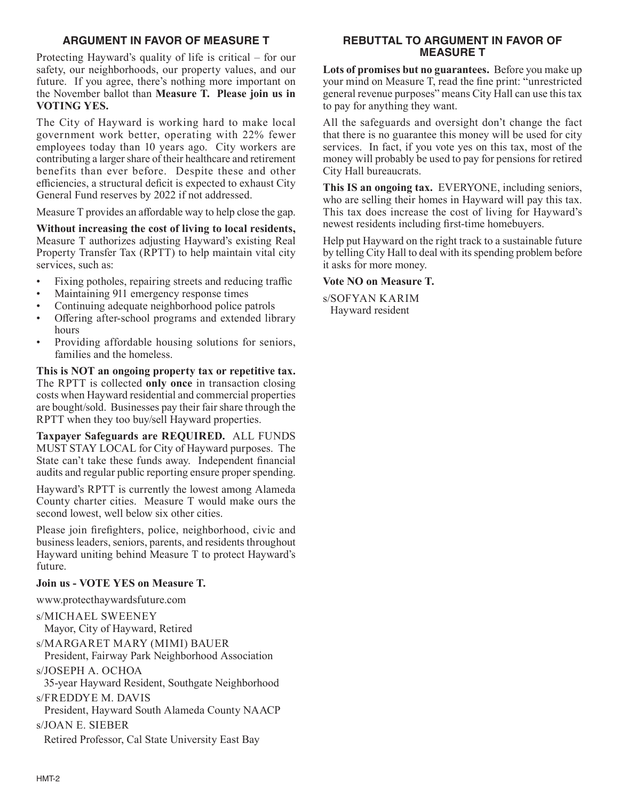# **ARGUMENT IN FAVOR OF MEASURE T**

Protecting Hayward's quality of life is critical – for our safety, our neighborhoods, our property values, and our future. If you agree, there's nothing more important on the November ballot than **Measure T. Please join us in VOTING YES.** 

The City of Hayward is working hard to make local government work better, operating with 22% fewer employees today than 10 years ago. City workers are contributing a larger share of their healthcare and retirement benefits than ever before. Despite these and other efficiencies, a structural deficit is expected to exhaust City General Fund reserves by 2022 if not addressed.

Measure T provides an affordable way to help close the gap.

**Without increasing the cost of living to local residents,**  Measure T authorizes adjusting Hayward's existing Real Property Transfer Tax (RPTT) to help maintain vital city services, such as:

- Fixing potholes, repairing streets and reducing traffic
- Maintaining 911 emergency response times
- Continuing adequate neighborhood police patrols
- Offering after-school programs and extended library hours
- Providing affordable housing solutions for seniors, families and the homeless.

**This is NOT an ongoing property tax or repetitive tax.** The RPTT is collected **only once** in transaction closing costs when Hayward residential and commercial properties are bought/sold. Businesses pay their fair share through the RPTT when they too buy/sell Hayward properties.

**Taxpayer Safeguards are REQUIRED.** ALL FUNDS MUST STAY LOCAL for City of Hayward purposes. The State can't take these funds away. Independent financial audits and regular public reporting ensure proper spending.

Hayward's RPTT is currently the lowest among Alameda County charter cities. Measure T would make ours the second lowest, well below six other cities.

Please join firefighters, police, neighborhood, civic and business leaders, seniors, parents, and residents throughout Hayward uniting behind Measure T to protect Hayward's future.

## **Join us - VOTE YES on Measure T.**

www.protecthaywardsfuture.com

s/MICHAEL SWEENEY Mayor, City of Hayward, Retired s/MARGARET MARY (MIMI) BAUER President, Fairway Park Neighborhood Association s/JOSEPH A. OCHOA 35-year Hayward Resident, Southgate Neighborhood s/FREDDYE M. DAVIS President, Hayward South Alameda County NAACP s/JOAN E. SIEBER Retired Professor, Cal State University East Bay

## **REBUTTAL TO ARGUMENT IN FAVOR OF MEASURE T**

**Lots of promises but no guarantees.** Before you make up your mind on Measure T, read the fine print: "unrestricted general revenue purposes" means City Hall can use this tax to pay for anything they want.

All the safeguards and oversight don't change the fact that there is no guarantee this money will be used for city services. In fact, if you vote yes on this tax, most of the money will probably be used to pay for pensions for retired City Hall bureaucrats.

**This IS an ongoing tax.** EVERYONE, including seniors, who are selling their homes in Hayward will pay this tax. This tax does increase the cost of living for Hayward's newest residents including first-time homebuyers.

Help put Hayward on the right track to a sustainable future by telling City Hall to deal with its spending problem before it asks for more money.

#### **Vote NO on Measure T.**

s/SOFYAN KARIM Hayward resident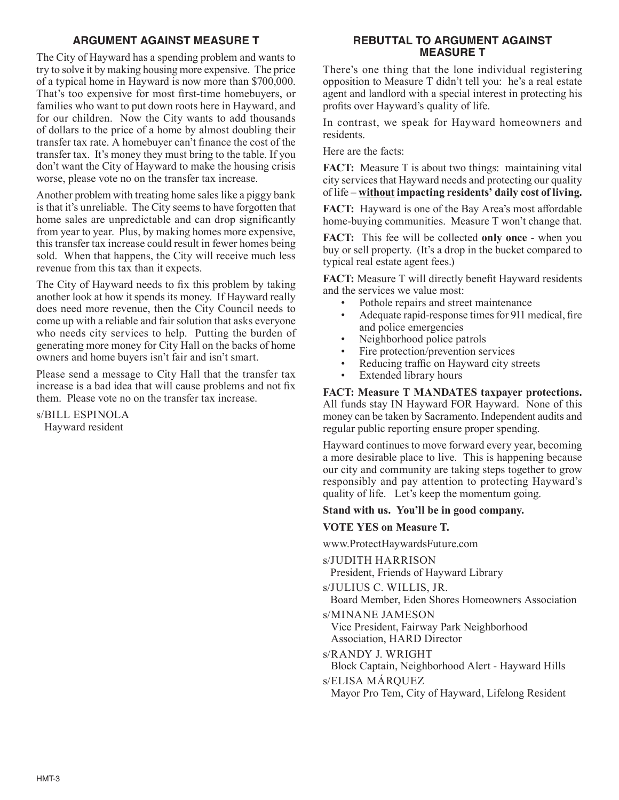# **ARGUMENT AGAINST MEASURE T**

The City of Hayward has a spending problem and wants to try to solve it by making housing more expensive. The price of a typical home in Hayward is now more than \$700,000. That's too expensive for most first-time homebuyers, or families who want to put down roots here in Hayward, and for our children. Now the City wants to add thousands of dollars to the price of a home by almost doubling their transfer tax rate. A homebuyer can't finance the cost of the transfer tax. It's money they must bring to the table. If you don't want the City of Hayward to make the housing crisis worse, please vote no on the transfer tax increase.

Another problem with treating home sales like a piggy bank is that it's unreliable. The City seems to have forgotten that home sales are unpredictable and can drop significantly from year to year. Plus, by making homes more expensive, this transfer tax increase could result in fewer homes being sold. When that happens, the City will receive much less revenue from this tax than it expects.

The City of Hayward needs to fix this problem by taking another look at how it spends its money. If Hayward really does need more revenue, then the City Council needs to come up with a reliable and fair solution that asks everyone who needs city services to help. Putting the burden of generating more money for City Hall on the backs of home owners and home buyers isn't fair and isn't smart.

Please send a message to City Hall that the transfer tax increase is a bad idea that will cause problems and not fix them. Please vote no on the transfer tax increase.

s/BILL ESPINOLA Hayward resident

## **REBUTTAL TO ARGUMENT AGAINST MEASURE T**

There's one thing that the lone individual registering opposition to Measure T didn't tell you: he's a real estate agent and landlord with a special interest in protecting his profits over Hayward's quality of life.

In contrast, we speak for Hayward homeowners and residents.

Here are the facts:

**FACT:** Measure T is about two things: maintaining vital city services that Hayward needs and protecting our quality of life – **without impacting residents' daily cost of living.**

**FACT:** Hayward is one of the Bay Area's most affordable home-buying communities. Measure T won't change that.

**FACT:** This fee will be collected **only once** - when you buy or sell property. (It's a drop in the bucket compared to typical real estate agent fees.)

**FACT:** Measure T will directly benefit Hayward residents and the services we value most:

- Pothole repairs and street maintenance
- Adequate rapid-response times for 911 medical, fire and police emergencies
- Neighborhood police patrols
- Fire protection/prevention services
- Reducing traffic on Hayward city streets
- Extended library hours

**FACT: Measure T MANDATES taxpayer protections.** All funds stay IN Hayward FOR Hayward. None of this money can be taken by Sacramento. Independent audits and regular public reporting ensure proper spending.

Hayward continues to move forward every year, becoming a more desirable place to live. This is happening because our city and community are taking steps together to grow responsibly and pay attention to protecting Hayward's quality of life. Let's keep the momentum going.

## **Stand with us. You'll be in good company.**

## **VOTE YES on Measure T.**

www.ProtectHaywardsFuture.com

s/JUDITH HARRISON

President, Friends of Hayward Library

s/JULIUS C. WILLIS, JR.

Board Member, Eden Shores Homeowners Association s/MINANE JAMESON

Vice President, Fairway Park Neighborhood Association, HARD Director

s/RANDY J. WRIGHT Block Captain, Neighborhood Alert - Hayward Hills

s/ELISA MÁRQUEZ Mayor Pro Tem, City of Hayward, Lifelong Resident